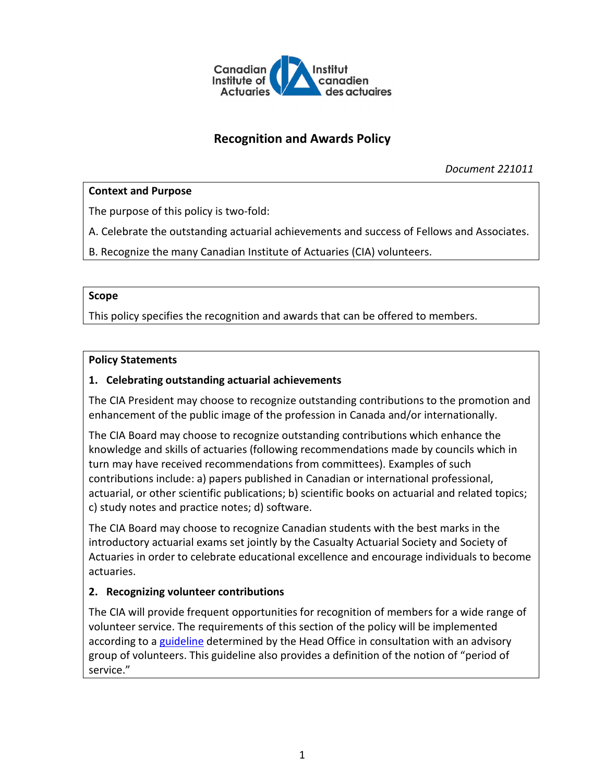

# **Recognition and Awards Policy**

*Document 221011*

## **Context and Purpose**

The purpose of this policy is two-fold:

A. Celebrate the outstanding actuarial achievements and success of Fellows and Associates.

B. Recognize the many Canadian Institute of Actuaries (CIA) volunteers.

#### **Scope**

This policy specifies the recognition and awards that can be offered to members.

#### **Policy Statements**

### **1. Celebrating outstanding actuarial achievements**

The CIA President may choose to recognize outstanding contributions to the promotion and enhancement of the public image of the profession in Canada and/or internationally.

The CIA Board may choose to recognize outstanding contributions which enhance the knowledge and skills of actuaries (following recommendations made by councils which in turn may have received recommendations from committees). Examples of such contributions include: a) papers published in Canadian or international professional, actuarial, or other scientific publications; b) scientific books on actuarial and related topics; c) study notes and practice notes; d) software.

The CIA Board may choose to recognize Canadian students with the best marks in the introductory actuarial exams set jointly by the Casualty Actuarial Society and Society of Actuaries in order to celebrate educational excellence and encourage individuals to become actuaries.

## **2. Recognizing volunteer contributions**

The CIA will provide frequent opportunities for recognition of members for a wide range of volunteer service. The requirements of this section of the policy will be implemented according to a [guideline](http://www.cia-ica.ca/docs/default-source/2021/221012e.pdf) determined by the Head Office in consultation with an advisory group of volunteers. This guideline also provides a definition of the notion of "period of service."